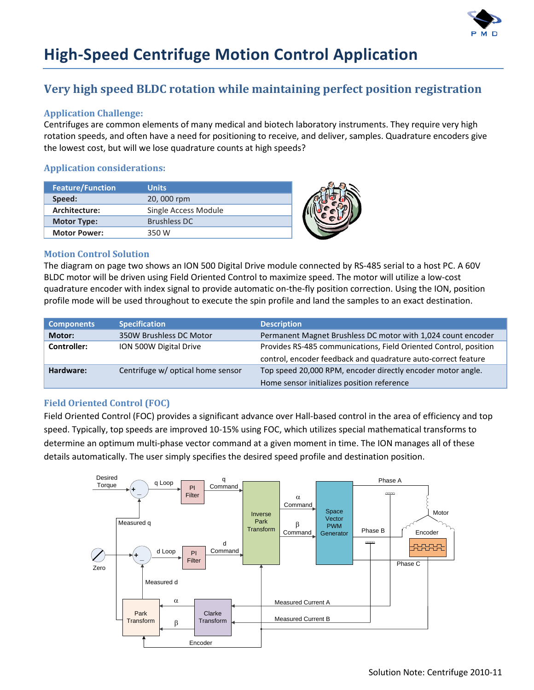

# **High-Speed Centrifuge Motion Control Application**

## **Very high speed BLDC rotation while maintaining perfect position registration**

### **Application Challenge:**

Centrifuges are common elements of many medical and biotech laboratory instruments. They require very high rotation speeds, and often have a need for positioning to receive, and deliver, samples. Quadrature encoders give the lowest cost, but will we lose quadrature counts at high speeds?

### **Application considerations:**

| <b>Feature/Function</b> | <b>Units</b>         |  |
|-------------------------|----------------------|--|
| Speed:                  | 20,000 rpm           |  |
| Architecture:           | Single Access Module |  |
| <b>Motor Type:</b>      | Brushless DC         |  |
| <b>Motor Power:</b>     | 350 W                |  |

#### **Motion Control Solution**

The diagram on page two shows an ION 500 Digital Drive module connected by RS-485 serial to a host PC. A 60V BLDC motor will be driven using Field Oriented Control to maximize speed. The motor will utilize a low-cost quadrature encoder with index signal to provide automatic on-the-fly position correction. Using the ION, position profile mode will be used throughout to execute the spin profile and land the samples to an exact destination.

| <b>Components</b> | <b>Specification</b>              | <b>Description</b>                                               |
|-------------------|-----------------------------------|------------------------------------------------------------------|
| Motor:            | 350W Brushless DC Motor           | Permanent Magnet Brushless DC motor with 1,024 count encoder     |
| Controller:       | ION 500W Digital Drive            | Provides RS-485 communications, Field Oriented Control, position |
|                   |                                   | control, encoder feedback and quadrature auto-correct feature    |
| Hardware:         | Centrifuge w/ optical home sensor | Top speed 20,000 RPM, encoder directly encoder motor angle.      |
|                   |                                   | Home sensor initializes position reference                       |

#### **Field Oriented Control (FOC)**

Field Oriented Control (FOC) provides a significant advance over Hall-based control in the area of efficiency and top speed. Typically, top speeds are improved 10-15% using FOC, which utilizes special mathematical transforms to determine an optimum multi-phase vector command at a given moment in time. The ION manages all of these details automatically. The user simply specifies the desired speed profile and destination position.